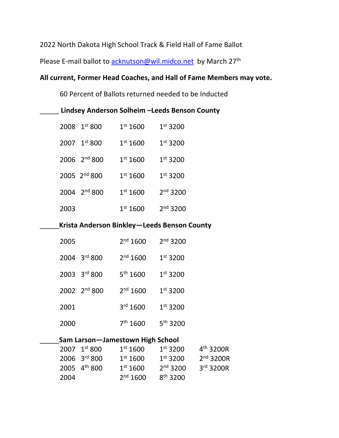2022 North Dakota High School Track & Field Hall of Fame Ballot

Please E-mail ballot to acknutson@wil.midco.net by March 27<sup>th</sup>

# **All current, Former Head Coaches, and Hall of Fame Members may vote.**

60 Percent of Ballots returned needed to be Inducted

\_\_\_\_\_ **Lindsey Anderson Solheim –Leeds Benson County**

|      | 2008 1st 800             | 1 <sup>st</sup> 1600 | 1 <sup>st</sup> 3200 |
|------|--------------------------|----------------------|----------------------|
|      | 2007 1st 800             | 1 <sup>st</sup> 1600 | 1 <sup>st</sup> 3200 |
|      | $2006$ $2nd 800$         | 1 <sup>st</sup> 1600 | 1 <sup>st</sup> 3200 |
|      | 2005 2 <sup>nd</sup> 800 | 1 <sup>st</sup> 1600 | 1 <sup>st</sup> 3200 |
|      | 2004 2 <sup>nd</sup> 800 | 1 <sup>st</sup> 1600 | 2 <sup>nd</sup> 3200 |
| 2003 |                          | 1 <sup>st</sup> 1600 | 2 <sup>nd</sup> 3200 |

## \_\_\_\_\_**Krista Anderson Binkley—Leeds Benson County**

|                                  | 2005 |                          | 2 <sup>nd</sup> 1600 | 2 <sup>nd</sup> 3200 |                 |
|----------------------------------|------|--------------------------|----------------------|----------------------|-----------------|
|                                  |      | 2004 3rd 800             | 2 <sup>nd</sup> 1600 | 1 <sup>st</sup> 3200 |                 |
|                                  |      | 2003 3rd 800             | 5 <sup>th</sup> 1600 | 1 <sup>st</sup> 3200 |                 |
|                                  |      | 2002 2 <sup>nd</sup> 800 | 2 <sup>nd</sup> 1600 | 1 <sup>st</sup> 3200 |                 |
|                                  | 2001 |                          | 3 <sup>rd</sup> 1600 | 1 <sup>st</sup> 3200 |                 |
|                                  | 2000 |                          | 7 <sup>th</sup> 1600 | 5 <sup>th</sup> 3200 |                 |
| Sam Larson-Jamestown High School |      |                          |                      |                      |                 |
|                                  |      | 2007 1st 800             | 1 <sup>st</sup> 1600 | 1 <sup>st</sup> 3200 | $4^{\text{tl}}$ |
|                                  |      | 2006 3rd 800             | 1 <sup>st</sup> 1600 | 1 <sup>st</sup> 3200 | 2 <sup>n</sup>  |
|                                  |      |                          |                      |                      |                 |

|      | $2007 \text{ } 1^{\text{st}} 800$ | 1 <sup>st</sup> 1600 | 1 <sup>st</sup> 3200 | $4^{th}$ 3200R |
|------|-----------------------------------|----------------------|----------------------|----------------|
|      | 2006 3rd 800                      | 1 <sup>st</sup> 1600 | 1 <sup>st</sup> 3200 | $2nd$ 3200R    |
|      | 2005 4 <sup>th</sup> 800          | 1 <sup>st</sup> 1600 | 2 <sup>nd</sup> 3200 | $3rd$ 3200R    |
| 2004 |                                   | 2 <sup>nd</sup> 1600 | $8^{th}$ 3200        |                |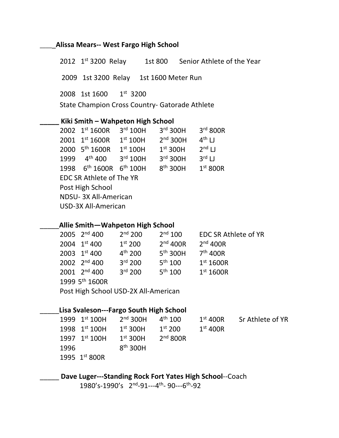### \_\_\_\_\_**Alissa Mears-- West Fargo High School**

2012 1st 3200 Relay 1st 800 Senior Athlete of the Year 2009 1st 3200 Relay 1st 1600 Meter Run 2008 1st 1600 1st 3200 State Champion Cross Country- Gatorade Athlete **\_\_\_\_\_ Kiki Smith – Wahpeton High School** 2002 1st 1600R 3rd 100H 3rd 300H 3rd 800R 2001 1st 1600R 1st 100H 2<sup>nd</sup> 300H 4<sup>th</sup> LJ 2000 5<sup>th</sup> 1600R 1<sup>st</sup> 100H 1<sup>st</sup> 300H 2<sup>nd</sup> LJ 1999 4<sup>th</sup> 400 3<sup>rd</sup> 100H 3<sup>rd</sup> 300H 3<sup>rd</sup> LJ 1998 6th 1600R 6th 100H 8th 300H 1st 800R EDC SR Athlete of The YR Post High School NDSU- 3X All-American USD-3X All-American

### \_\_\_\_\_**Allie Smith—Wahpeton High School**

|                                      | 2005 $2^{nd}$ 400        | 2 <sup>nd</sup> 200 | $2^{nd}$ 100         | <b>EDC SR Athlete of YR</b> |
|--------------------------------------|--------------------------|---------------------|----------------------|-----------------------------|
|                                      | 2004 1st 400             | 1 <sup>st</sup> 200 | $2nd$ 400R           | $2nd$ 400R                  |
|                                      | 2003 1st 400             | $4^{th}$ 200        | 5 <sup>th</sup> 300H | 7 <sup>th</sup> 400R        |
|                                      | 2002 2 <sup>nd</sup> 400 | 3 <sup>rd</sup> 200 | $5^{th}$ 100         | 1 <sup>st</sup> 1600R       |
|                                      | $2001$ $2nd$ 400         | 3 <sup>rd</sup> 200 | $5^{th}$ 100         | 1 <sup>st</sup> 1600R       |
| 1999 5 <sup>th</sup> 1600R           |                          |                     |                      |                             |
| Post High School USD-2X All-American |                          |                     |                      |                             |

#### \_\_\_\_\_**Lisa Svaleson---Fargo South High School**

|      | 1999 $1^{\text{st}}$ 100H | $2nd$ 300H           | $4^{\text{th}}$ 100 | $1st$ 400R | Sr Athlete of YR |
|------|---------------------------|----------------------|---------------------|------------|------------------|
|      | 1998 $1st 100H$           | 1 <sup>st</sup> 300H | $1^{st}$ 200        | $1st$ 400R |                  |
|      | 1997 $1st 100H$           | 1 <sup>st</sup> 300H | $2nd$ 800R          |            |                  |
| 1996 |                           | 8 <sup>th</sup> 300H |                     |            |                  |
|      | 1995 1st 800R             |                      |                     |            |                  |

\_\_\_\_\_ **Dave Luger---Standing Rock Fort Yates High School**--Coach

1980's-1990's 2nd-91---4th- 90---6th-92